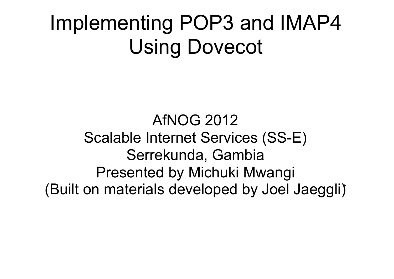### Implementing POP3 and IMAP4 Using Dovecot

AfNOG 2012 Scalable Internet Services (SS-E) Serrekunda, Gambia Presented by Michuki Mwangi (Built on materials developed by Joel Jaeggli)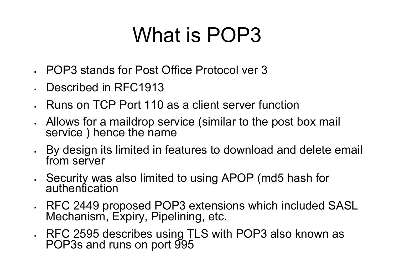### What is POP3

- POP3 stands for Post Office Protocol ver 3
- Described in RFC1913
- Runs on TCP Port 110 as a client server function
- Allows for a maildrop service (similar to the post box mail service ) hence the name
- By design its limited in features to download and delete email from server
- Security was also limited to using APOP (md5 hash for authentication
- RFC 2449 proposed POP3 extensions which included SASL Mechanism, Expiry, Pipelining, etc.
- RFC 2595 describes using TLS with POP3 also known as POP3s and runs on port 995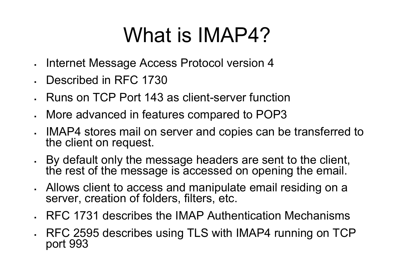### What is **IMAP4?**

- Internet Message Access Protocol version 4
- Described in RFC 1730
- Runs on TCP Port 143 as client-server function
- More advanced in features compared to POP3
- . IMAP4 stores mail on server and copies can be transferred to the client on request.
- By default only the message headers are sent to the client, the rest of the message is accessed on opening the email.
- Allows client to access and manipulate email residing on a server, creation of folders, filters, etc.
- RFC 1731 describes the IMAP Authentication Mechanisms
- RFC 2595 describes using TLS with IMAP4 running on TCP port 993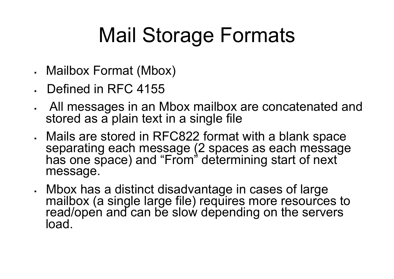# Mail Storage Formats

- Mailbox Format (Mbox)
- Defined in RFC 4155
- All messages in an Mbox mailbox are concatenated and stored as a plain text in a single file
- Mails are stored in RFC822 format with a blank space separating each message (2 spaces as each message has one space) and "From" determining start of next message.
- Mbox has a distinct disadvantage in cases of large mailbox (a single large file) requires more resources to read/open and can be slow depending on the servers load.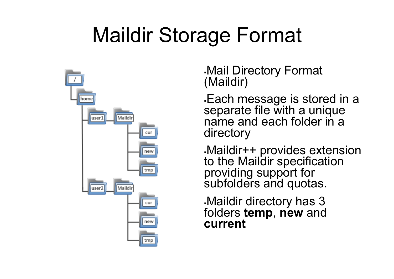### Maildir Storage Format



Mail Directory Format (Maildir)

Each message is stored in a separate file with a unique name and each folder in a directory

Maildir++ provides extension to the Maildir specification providing support for subfolders and quotas.

Maildir directory has 3 folders **temp**, **new** and **current**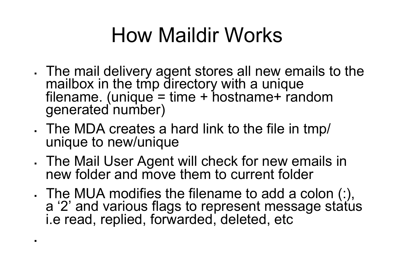### How Maildir Works

- The mail delivery agent stores all new emails to the mailbox in the tmp directory with a unique<br>filename. (unique = time + hostname+ random filename. (unique = time + hostname+ random<br>qenerated number)
- The MDA creates a hard link to the file in tmp/ unique to new/unique

 $\mathbf{r}$ 

- The Mail User Agent will check for new emails in new folder and move them to current folder
- The MUA modifies the filename to add a colon (:), a '2' and various flags to represent message status i.e read, replied, forwarded, deleted, etc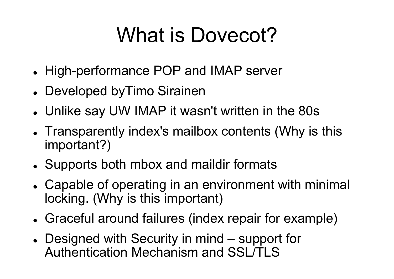### What is Dovecot?

- High-performance POP and IMAP server
- Developed byTimo Sirainen
- Unlike say UW IMAP it wasn't written in the 80s
- Transparently index's mailbox contents (Why is this important?)
- Supports both mbox and maildir formats
- Capable of operating in an environment with minimal locking. (Why is this important)
- Graceful around failures (index repair for example)
- Designed with Security in mind support for Authentication Mechanism and SSL/TLS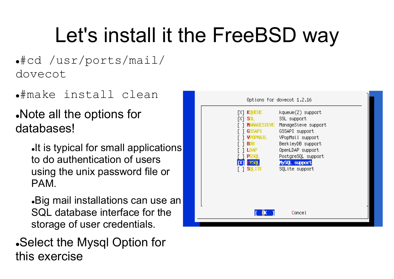### Let's install it the FreeBSD way

#cd /usr/ports/mail/ dovecot

#make install clean

Note all the options for databases!

> It is typical for small applications to do authentication of users using the unix password file or PAM.

> Big mail installations can use an SQL database interface for the storage of user credentials.

Select the Mysql Option for this exercise

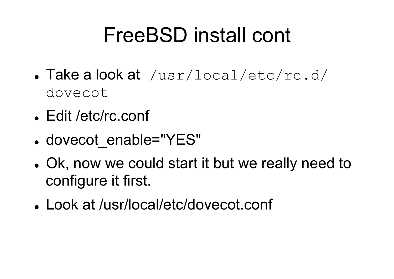### FreeBSD install cont

- Take a look at /usr/local/etc/rc.d/ dovecot
- Edit /etc/rc.conf
- dovecot\_enable="YES"
- Ok, now we could start it but we really need to configure it first.
- Look at /usr/local/etc/dovecot.conf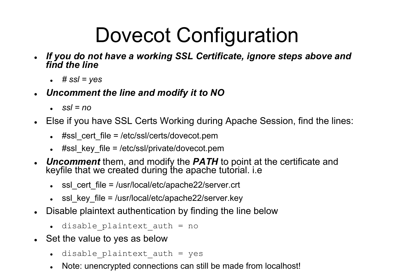### Dovecot Configuration

- *If you do not have a working SSL Certificate, ignore steps above and find the line* 
	- $\div$  # ssl = yes
- *Uncomment the line and modify it to NO* 
	- $s$ *ssl* = no
- Else if you have SSL Certs Working during Apache Session, find the lines:
	- $*$  #ssl\_cert\_file = /etc/ssl/certs/dovecot.pem
	- $*$  #ssl\_key\_file = /etc/ssl/private/dovecot.pem
- *Uncomment* them, and modify the *PATH* to point at the certificate and keyfile that we created during the apache tutorial. i.e
	- ssl\_cert\_file = /usr/local/etc/apache22/server.crt
	- $\cdot$  ssl key file = /usr/local/etc/apache22/server.key
- Disable plaintext authentication by finding the line below
	- disable\_plaintext\_auth = no
- Set the value to yes as below
	- disable plaintext auth = yes
	- Note: unencrypted connections can still be made from localhost!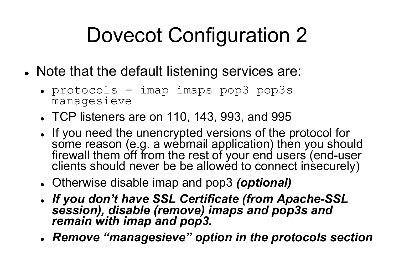# Dovecot Configuration 2

- Note that the default listening services are:
	- $\textdegree$  protocols = imap imaps pop3 pop3s managesieve
	- TCP listeners are on 110, 143, 993, and 995
	- If you need the unencrypted versions of the protocol for some reason (e.g. a webmail application) then you should firewall them off from the rest of your end users (end-user clients should never be be allowed to connect insecurely)
	- Otherwise disable imap and pop3 *(optional)*
	- *If you don't have SSL Certificate (from Apache-SSL session), disable (remove) imaps and pop3s and remain with imap and pop3.*
	- *Remove "managesieve" option in the protocols section*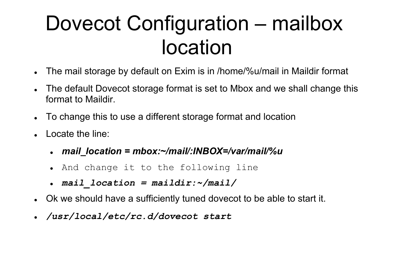### Dovecot Configuration – mailbox location

- The mail storage by default on Exim is in /home/%u/mail in Maildir format
- The default Dovecot storage format is set to Mbox and we shall change this format to Maildir.
- To change this to use a different storage format and location
- Locate the line:
	- *mail\_location = mbox:~/mail/:INBOX=/var/mail/%u*
	- And change it to the following line
	- *mail\_location = maildir:~/mail/*
- Ok we should have a sufficiently tuned dovecot to be able to start it.
- */usr/local/etc/rc.d/dovecot start*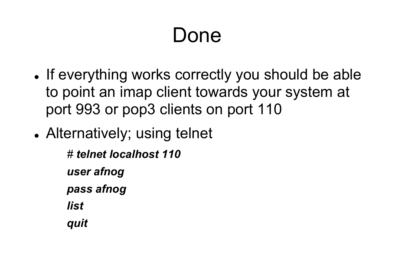### Done

- If everything works correctly you should be able to point an imap client towards your system at port 993 or pop3 clients on port 110
- Alternatively; using telnet

*# telnet localhost 110 user afnog pass afnog list* 

*quit*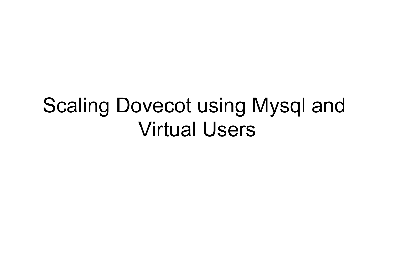### Scaling Dovecot using Mysql and Virtual Users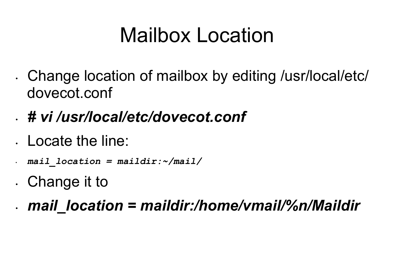### Mailbox Location

• Change location of mailbox by editing /usr/local/etc/ dovecot.conf

### • *# vi /usr/local/etc/dovecot.conf*

- Locate the line:
- *mail\_location = maildir:~/mail/*
- Change it to
- *mail\_location = maildir:/home/vmail/%n/Maildir*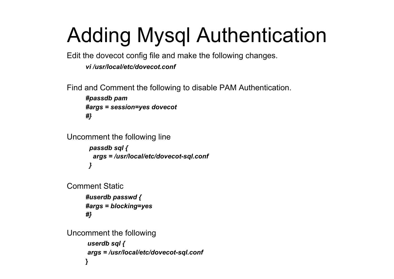# Adding Mysql Authentication

Edit the dovecot config file and make the following changes.

*vi /usr/local/etc/dovecot.conf*

Find and Comment the following to disable PAM Authentication.

```
#passdb pam
#args = session=yes dovecot
#}
```

```
Uncomment the following line
       passdb sql {
        args = /usr/local/etc/dovecot-sql.conf
       }
```

```
Comment Static
     #userdb passwd {
     #args = blocking=yes 
     #}
```

```
Uncomment the following 
      userdb sql { 
      args = /usr/local/etc/dovecot-sql.conf
     }
```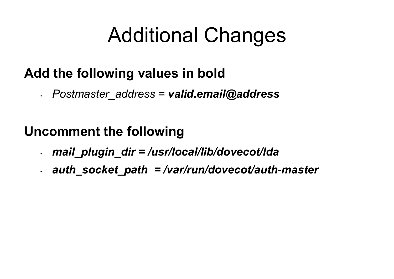### Additional Changes

### **Add the following values in bold**

• *Postmaster\_address = valid.email@address* 

### **Uncomment the following**

- *mail\_plugin\_dir = /usr/local/lib/dovecot/lda*
- *auth\_socket\_path = /var/run/dovecot/auth-master*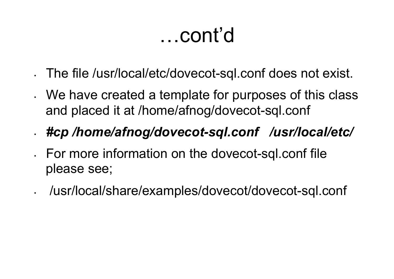### …cont'd

- The file /usr/local/etc/dovecot-sql.conf does not exist.
- We have created a template for purposes of this class and placed it at /home/afnog/dovecot-sql.conf

### • *#cp /home/afnog/dovecot-sql.conf /usr/local/etc/*

- For more information on the dovecot-sql.conf file please see;
- /usr/local/share/examples/dovecot/dovecot-sql.conf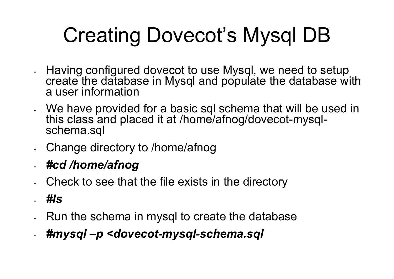# Creating Dovecot's Mysql DB

- Having configured dovecot to use Mysql, we need to setup create the database in Mysql and populate the database with a user information
- We have provided for a basic sql schema that will be used in this class and placed it at /home/afnog/dovecot-mysql-<br>schema.sql
- Change directory to /home/afnog
- *#cd /home/afnog*
- Check to see that the file exists in the directory
- *#ls*
- Run the schema in mysql to create the database
- *#mysql –p <dovecot-mysql-schema.sql*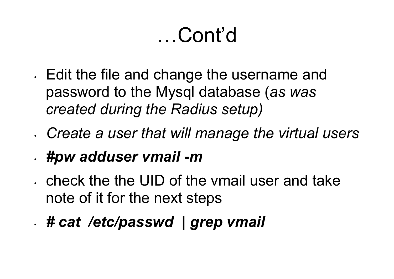### …Cont'd

• Edit the file and change the username and password to the Mysql database (*as was created during the Radius setup)* 

- *Create a user that will manage the virtual users*  • *#pw adduser vmail -m*
- check the the UID of the vmail user and take note of it for the next steps
- *# cat /etc/passwd | grep vmail*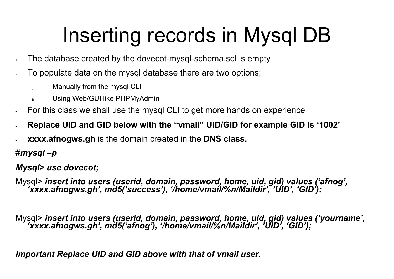# Inserting records in Mysql DB<br>The database created by the dovecot-mysql-schema.sql is empty

- 
- To populate data on the mysql database there are two options;
	- i) Manually from the mysql CLI
	- ii) Using Web/GUI like PHPMyAdmin
- For this class we shall use the mysql CLI to get more hands on experience
- **Replace UID and GID below with the "vmail" UID/GID for example GID is '1002'**
- **xxxx.afnogws.gh** is the domain created in the **DNS class.**

#*mysql –p*

*Mysql> use dovecot;* 

Mysql> *insert into users (userid, domain, password, home, uid, gid) values ('afnog', 'xxxx.afnogws.gh', md5('success'), '/home/vmail/%n/Maildir', 'UID', 'GID');* 

Mysql> *insert into users (userid, domain, password, home, uid, gid) values ('yourname', 'xxxx.afnogws.gh', md5('afnog'), '/home/vmail/%n/Maildir', 'UID', 'GID');* 

*Important Replace UID and GID above with that of vmail user.*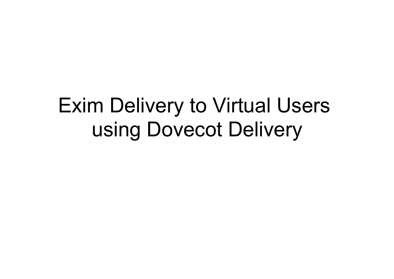### Exim Delivery to Virtual Users using Dovecot Delivery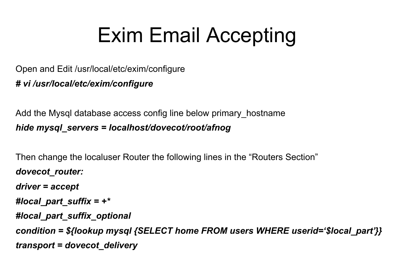### Exim Email Accepting

Open and Edit /usr/local/etc/exim/configure *# vi /usr/local/etc/exim/configure*

Add the Mysql database access config line below primary\_hostname *hide mysql\_servers = localhost/dovecot/root/afnog*

Then change the localuser Router the following lines in the "Routers Section" *dovecot\_router: driver = accept #local\_part\_suffix = +\* #local\_part\_suffix\_optional*

*condition = \${lookup mysql {SELECT home FROM users WHERE userid='\$local\_part'}} transport = dovecot\_delivery*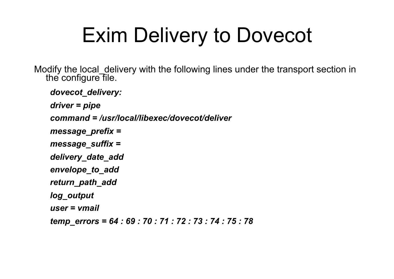### Exim Delivery to Dovecot

Modify the local\_delivery with the following lines under the transport section in the configure file.

```
dovecot_delivery: 
driver = pipe 
command = /usr/local/libexec/dovecot/deliver
message_prefix = 
message_suffix = 
delivery_date_add
envelope_to_add
return_path_add
log_output
user = vmail
temp_errors = 64 : 69 : 70 : 71 : 72 : 73 : 74 : 75 : 78
```